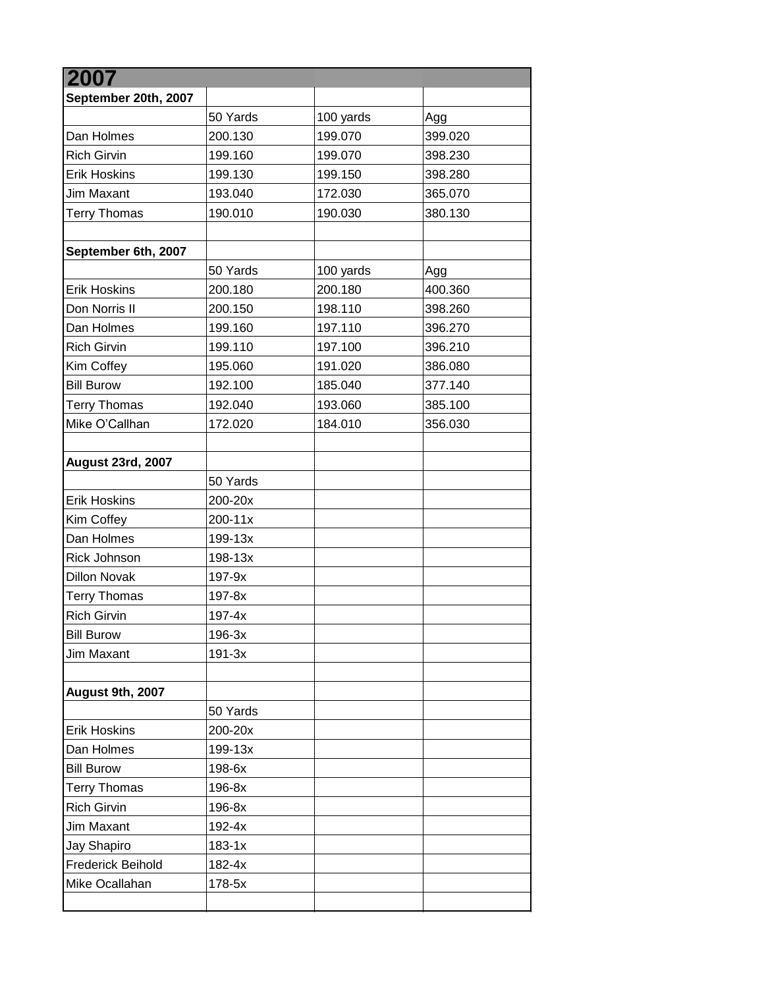| 2007                     |            |           |         |
|--------------------------|------------|-----------|---------|
| September 20th, 2007     |            |           |         |
|                          | 50 Yards   | 100 yards | Agg     |
| Dan Holmes               | 200.130    | 199.070   | 399.020 |
| <b>Rich Girvin</b>       | 199.160    | 199.070   | 398.230 |
| <b>Erik Hoskins</b>      | 199.130    | 199.150   | 398.280 |
| Jim Maxant               | 193.040    | 172.030   | 365.070 |
| <b>Terry Thomas</b>      | 190.010    | 190.030   | 380.130 |
|                          |            |           |         |
| September 6th, 2007      |            |           |         |
|                          | 50 Yards   | 100 yards | Agg     |
| <b>Erik Hoskins</b>      | 200.180    | 200.180   | 400.360 |
| Don Norris II            | 200.150    | 198.110   | 398.260 |
| Dan Holmes               | 199.160    | 197.110   | 396.270 |
| <b>Rich Girvin</b>       | 199.110    | 197.100   | 396.210 |
| Kim Coffey               | 195.060    | 191.020   | 386.080 |
| <b>Bill Burow</b>        | 192.100    | 185.040   | 377.140 |
| <b>Terry Thomas</b>      | 192.040    | 193.060   | 385.100 |
| Mike O'Callhan           | 172.020    | 184.010   | 356.030 |
|                          |            |           |         |
| <b>August 23rd, 2007</b> |            |           |         |
|                          | 50 Yards   |           |         |
| <b>Erik Hoskins</b>      | 200-20x    |           |         |
| Kim Coffey               | 200-11x    |           |         |
| Dan Holmes               | 199-13x    |           |         |
| Rick Johnson             | 198-13x    |           |         |
| <b>Dillon Novak</b>      | 197-9x     |           |         |
| <b>Terry Thomas</b>      | 197-8x     |           |         |
| <b>Rich Girvin</b>       | $197 - 4x$ |           |         |
| <b>Bill Burow</b>        | 196-3x     |           |         |
| Jim Maxant               | $191-3x$   |           |         |
|                          |            |           |         |
| August 9th, 2007         |            |           |         |
|                          | 50 Yards   |           |         |
| <b>Erik Hoskins</b>      | 200-20x    |           |         |
| Dan Holmes               | 199-13x    |           |         |
| <b>Bill Burow</b>        | 198-6x     |           |         |
| <b>Terry Thomas</b>      | 196-8x     |           |         |
| <b>Rich Girvin</b>       | 196-8x     |           |         |
| Jim Maxant               | 192-4x     |           |         |
| Jay Shapiro              | $183 - 1x$ |           |         |
| <b>Frederick Beihold</b> | 182-4x     |           |         |
| Mike Ocallahan           | 178-5x     |           |         |
|                          |            |           |         |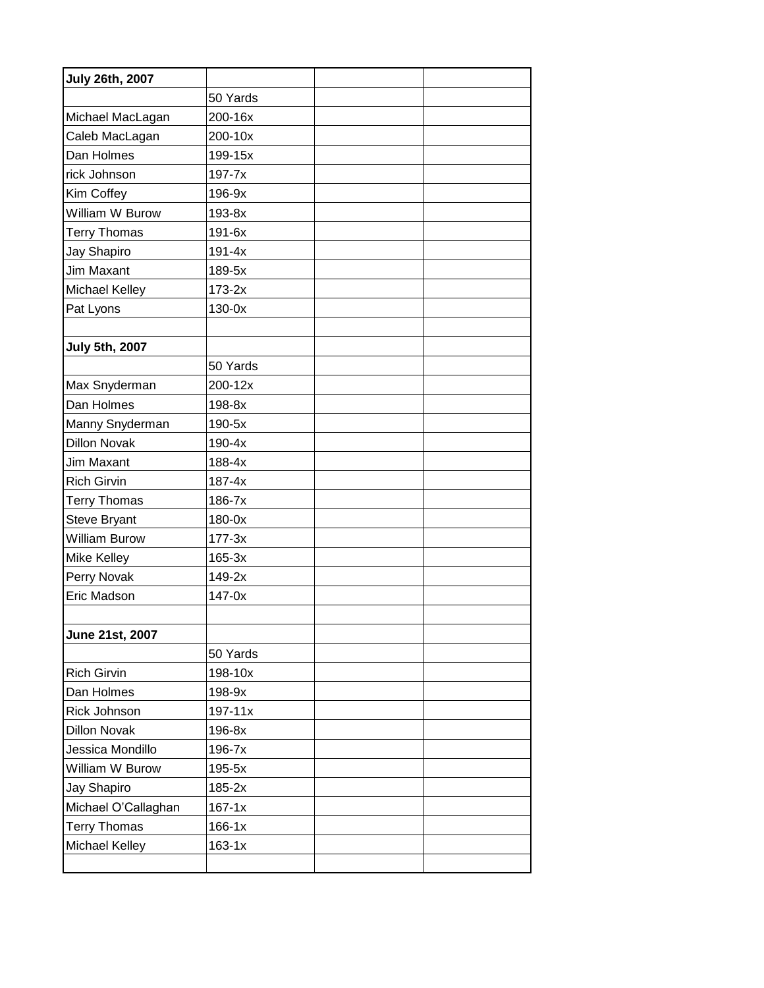| <b>July 26th, 2007</b> |             |  |
|------------------------|-------------|--|
|                        | 50 Yards    |  |
| Michael MacLagan       | 200-16x     |  |
| Caleb MacLagan         | 200-10x     |  |
| Dan Holmes             | 199-15x     |  |
| rick Johnson           | 197-7x      |  |
| Kim Coffey             | 196-9x      |  |
| William W Burow        | 193-8x      |  |
| <b>Terry Thomas</b>    | 191-6x      |  |
| Jay Shapiro            | $191 - 4x$  |  |
| Jim Maxant             | 189-5x      |  |
| Michael Kelley         | 173-2x      |  |
| Pat Lyons              | 130-0x      |  |
|                        |             |  |
| <b>July 5th, 2007</b>  |             |  |
|                        | 50 Yards    |  |
| Max Snyderman          | 200-12x     |  |
| Dan Holmes             | 198-8x      |  |
| Manny Snyderman        | 190-5x      |  |
| <b>Dillon Novak</b>    | 190-4x      |  |
| Jim Maxant             | 188-4x      |  |
| <b>Rich Girvin</b>     | $187 - 4x$  |  |
| <b>Terry Thomas</b>    | 186-7x      |  |
| Steve Bryant           | 180-0x      |  |
| <b>William Burow</b>   | $177-3x$    |  |
| Mike Kelley            | 165-3x      |  |
| Perry Novak            | 149-2x      |  |
| Eric Madson            | 147-0x      |  |
|                        |             |  |
| June 21st, 2007        |             |  |
|                        | 50 Yards    |  |
| <b>Rich Girvin</b>     | 198-10x     |  |
| Dan Holmes             | 198-9x      |  |
| Rick Johnson           | $197 - 11x$ |  |
| <b>Dillon Novak</b>    | 196-8x      |  |
| Jessica Mondillo       | 196-7x      |  |
| William W Burow        | 195-5x      |  |
| Jay Shapiro            | $185-2x$    |  |
| Michael O'Callaghan    | $167 - 1x$  |  |
| <b>Terry Thomas</b>    | $166 - 1x$  |  |
| Michael Kelley         | $163-1x$    |  |
|                        |             |  |